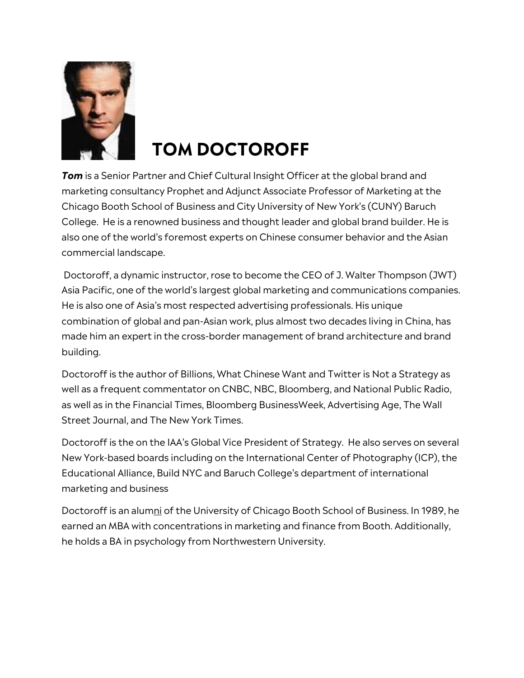

## **TOM DOCTOROFF**

*Tom* is a Senior Partner and Chief Cultural Insight Officer at the global brand and marketing consultancy Prophet and Adjunct Associate Professor of Marketing at the Chicago Booth School of Business and City University of New York's (CUNY) Baruch College. He is a renowned business and thought leader and global brand builder. He is also one of the world's foremost experts on Chinese consumer behavior and the Asian commercial landscape.

Doctoroff, a dynamic instructor, rose to become the CEO of J. Walter Thompson (JWT) Asia Pacific, one of the world's largest global marketing and communications companies. He is also one of Asia's most respected advertising professionals. His unique combination of global and pan-Asian work, plus almost two decades living in China, has made him an expert in the cross-border management of brand architecture and brand building.

Doctoroff is the author of Billions, What Chinese Want and Twitter is Not a Strategy as well as a frequent commentator on CNBC, NBC, Bloomberg, and National Public Radio, as well as in the Financial Times, Bloomberg BusinessWeek, Advertising Age, The Wall Street Journal, and The New York Times.

Doctoroff is the on the IAA's Global Vice President of Strategy. He also serves on several New York-based boards including on the International Center of Photography (ICP), the Educational Alliance, Build NYC and Baruch College's department of international marketing and business

Doctoroff is an alumni of the University of Chicago Booth School of Business. In 1989, he earned an MBA with concentrations in marketing and finance from Booth. Additionally, he holds a BA in psychology from Northwestern University.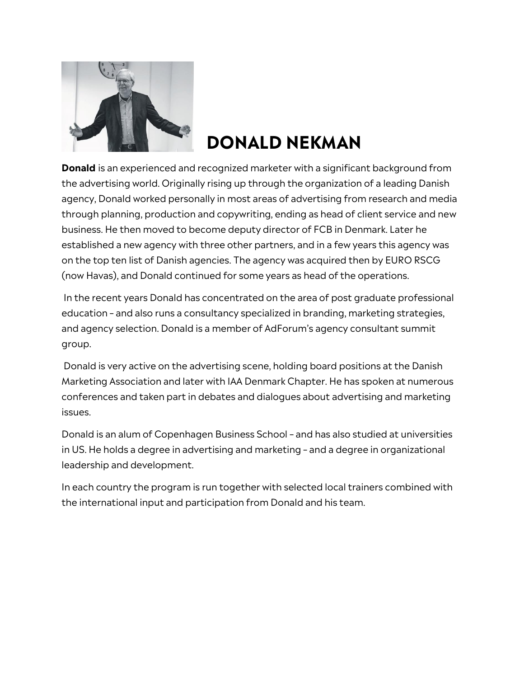

## **DONALD NEKMAN**

**Donald** is an experienced and recognized marketer with a significant background from the advertising world. Originally rising up through the organization of a leading Danish agency, Donald worked personally in most areas of advertising from research and media through planning, production and copywriting, ending as head of client service and new business. He then moved to become deputy director of FCB in Denmark. Later he established a new agency with three other partners, and in a few years this agency was on the top ten list of Danish agencies. The agency was acquired then by EURO RSCG (now Havas), and Donald continued for some years as head of the operations.

In the recent years Donald has concentrated on the area of post graduate professional education – and also runs a consultancy specialized in branding, marketing strategies, and agency selection. Donald is a member of AdForum's agency consultant summit group.

Donald is very active on the advertising scene, holding board positions at the Danish Marketing Association and later with IAA Denmark Chapter. He has spoken at numerous conferences and taken part in debates and dialogues about advertising and marketing issues.

Donald is an alum of Copenhagen Business School – and has also studied at universities in US. He holds a degree in advertising and marketing – and a degree in organizational leadership and development.

In each country the program is run together with selected local trainers combined with the international input and participation from Donald and his team.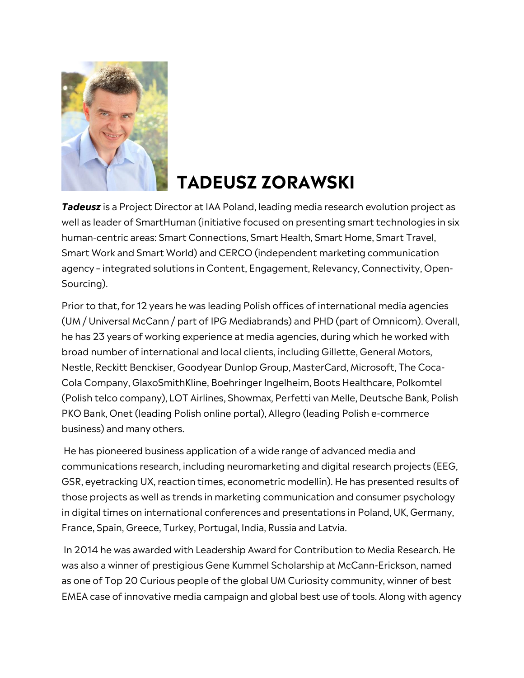

## **TADEUSZ ZORAWSKI**

*Tadeusz* is a Project Director at IAA Poland, leading media research evolution project as well as leader of SmartHuman (initiative focused on presenting smart technologies in six human-centric areas: Smart Connections, Smart Health, Smart Home, Smart Travel, Smart Work and Smart World) and CERCO (independent marketing communication agency – integrated solutions in Content, Engagement, Relevancy, Connectivity, Open-Sourcing).

Prior to that, for 12 years he was leading Polish offices of international media agencies (UM / Universal McCann / part of IPG Mediabrands) and PHD (part of Omnicom). Overall, he has 23 years of working experience at media agencies, during which he worked with broad number of international and local clients, including Gillette, General Motors, Nestle, Reckitt Benckiser, Goodyear Dunlop Group, MasterCard, Microsoft, The Coca-Cola Company, GlaxoSmithKline, Boehringer Ingelheim, Boots Healthcare, Polkomtel (Polish telco company), LOT Airlines, Showmax, Perfetti van Melle, Deutsche Bank, Polish PKO Bank, Onet (leading Polish online portal), Allegro (leading Polish e-commerce business) and many others.

He has pioneered business application of a wide range of advanced media and communications research, including neuromarketing and digital research projects (EEG, GSR, eyetracking UX, reaction times, econometric modellin). He has presented results of those projects as well as trends in marketing communication and consumer psychology in digital times on international conferences and presentations in Poland, UK, Germany, France, Spain, Greece, Turkey, Portugal, India, Russia and Latvia.

In 2014 he was awarded with Leadership Award for Contribution to Media Research. He was also a winner of prestigious Gene Kummel Scholarship at McCann-Erickson, named as one of Top 20 Curious people of the global UM Curiosity community, winner of best EMEA case of innovative media campaign and global best use of tools. Along with agency